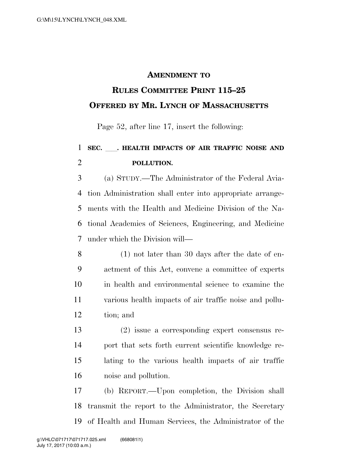## **AMENDMENT TO**

## **RULES COMMITTEE PRINT 115–25 OFFERED BY MR. LYNCH OF MASSACHUSETTS**

Page 52, after line 17, insert the following:

## **SEC.** ll**. HEALTH IMPACTS OF AIR TRAFFIC NOISE AND POLLUTION.**

 (a) STUDY.—The Administrator of the Federal Avia- tion Administration shall enter into appropriate arrange- ments with the Health and Medicine Division of the Na- tional Academies of Sciences, Engineering, and Medicine under which the Division will—

- (1) not later than 30 days after the date of en- actment of this Act, convene a committee of experts in health and environmental science to examine the various health impacts of air traffic noise and pollu-tion; and
- (2) issue a corresponding expert consensus re- port that sets forth current scientific knowledge re- lating to the various health impacts of air traffic noise and pollution.

 (b) REPORT.—Upon completion, the Division shall transmit the report to the Administrator, the Secretary of Health and Human Services, the Administrator of the